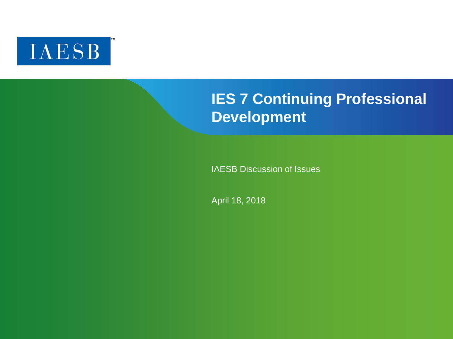

### **IES 7 Continuing Professional Development**

IAESB Discussion of Issues

April 18, 2018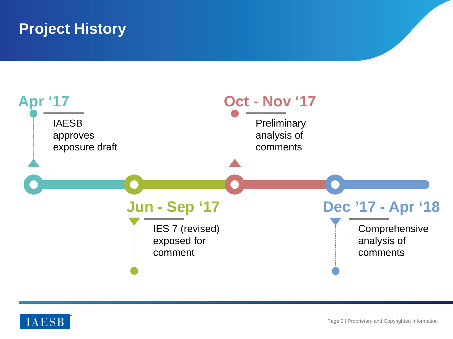### **Project History**



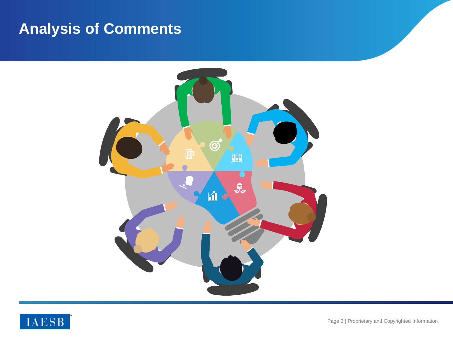# **Analysis of Comments**



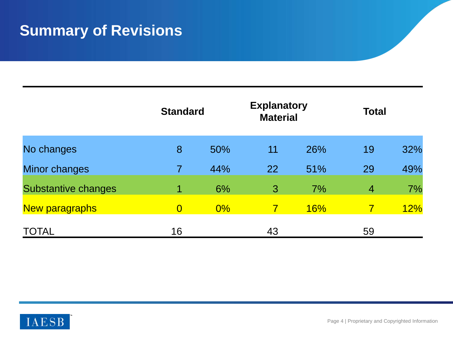# **Summary of Revisions**

|                     | <b>Standard</b> |       | <b>Explanatory</b><br><b>Material</b> |     | <b>Total</b>            |     |
|---------------------|-----------------|-------|---------------------------------------|-----|-------------------------|-----|
| No changes          | 8               | 50%   | 11                                    | 26% | 19                      | 32% |
| Minor changes       | $\overline{7}$  | 44%   | 22                                    | 51% | 29                      | 49% |
| Substantive changes | $\mathbf 1$     | 6%    | 3                                     | 7%  | $\overline{4}$          | 7%  |
| New paragraphs      | $\overline{0}$  | $0\%$ | 7                                     | 16% | $\overline{\mathbf{7}}$ | 12% |
| TOTAL               | 16              |       | 43                                    |     | 59                      |     |

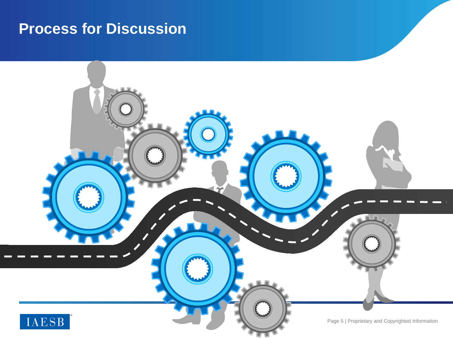### **Process for Discussion**

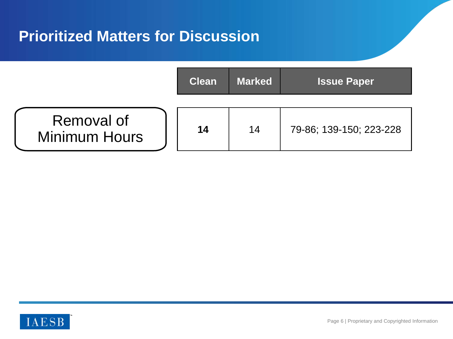# **Prioritized Matters for Discussion**

|                                    | <b>Clean</b> | <b>Marked</b> | <b>Issue Paper</b>      |
|------------------------------------|--------------|---------------|-------------------------|
| Removal of<br><b>Minimum Hours</b> | 14           | 14            | 79-86; 139-150; 223-228 |

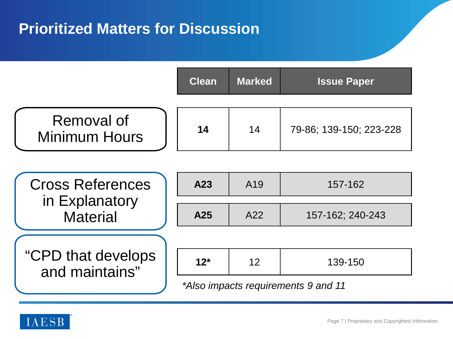# **Prioritized Matters for Discussion**

|                                           | <b>Clean</b> | <b>Marked</b> | <b>Issue Paper</b>      |
|-------------------------------------------|--------------|---------------|-------------------------|
| <b>Removal of</b><br><b>Minimum Hours</b> | 14           | 14            | 79-86; 139-150; 223-228 |

| <b>Cross References</b>               | A23   | A <sub>19</sub>   | 157-162                             |
|---------------------------------------|-------|-------------------|-------------------------------------|
| in Explanatory<br><b>Material</b>     | A25   | A22               | 157-162; 240-243                    |
|                                       |       |                   |                                     |
| "CPD that develops"<br>and maintains" | $12*$ | $12 \overline{ }$ | 139-150                             |
|                                       |       |                   | *Also impacts requirements 9 and 11 |

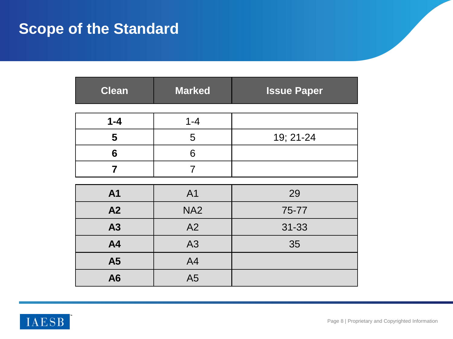#### **Scope of the Standard**

| <b>Clean</b>    | <b>Marked</b>   | <b>Issue Paper</b> |
|-----------------|-----------------|--------------------|
|                 |                 |                    |
| $1 - 4$         | $1 - 4$         |                    |
| 5               | 5               | 19; 21-24          |
| $6\phantom{1}6$ | 6               |                    |
| $\overline{7}$  | $\overline{7}$  |                    |
|                 |                 |                    |
| <b>A1</b>       | A1              | 29                 |
| A2              | NA <sub>2</sub> | 75-77              |
| A3              | A2              | $31 - 33$          |
| <b>A4</b>       | A3              | 35                 |
| <b>A5</b>       | A4              |                    |
| <b>A6</b>       | A <sub>5</sub>  |                    |

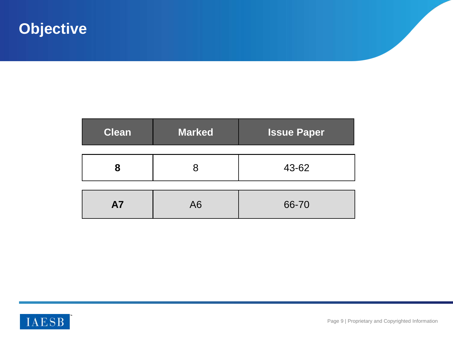# **Objective**

| <b>Clean</b> | <b>Marked</b>  | <b>Issue Paper</b> |
|--------------|----------------|--------------------|
| 8            | 8              | 43-62              |
|              |                |                    |
| <b>A7</b>    | A <sub>6</sub> | 66-70              |

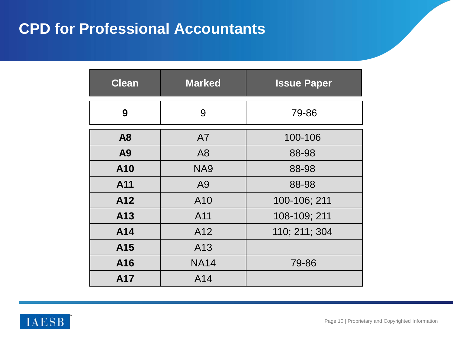#### **CPD for Professional Accountants**

| <b>Clean</b>   | <b>Marked</b>   | <b>Issue Paper</b> |
|----------------|-----------------|--------------------|
| 9              | 9               | 79-86              |
| A <sub>8</sub> | A7              | 100-106            |
| A <sub>9</sub> | A <sub>8</sub>  | 88-98              |
| A10            | NA9             | 88-98              |
| A11            | A <sub>9</sub>  | 88-98              |
| A12            | A <sub>10</sub> | 100-106; 211       |
| A13            | A11             | 108-109; 211       |
| A14            | A12             | 110; 211; 304      |
| A15            | A <sub>13</sub> |                    |
| A16            | <b>NA14</b>     | 79-86              |
| A17            | A14             |                    |

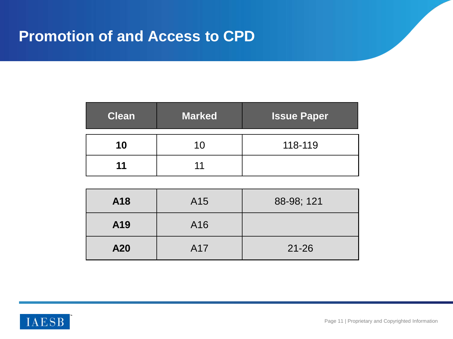#### **Promotion of and Access to CPD**

| <b>Clean</b> | <b>Marked</b> | <b>Issue Paper</b> |
|--------------|---------------|--------------------|
| 10           | 10            | 118-119            |
| 11           |               |                    |

| A18 | A15 | 88-98; 121 |
|-----|-----|------------|
| A19 | A16 |            |
| A20 | A17 | $21 - 26$  |

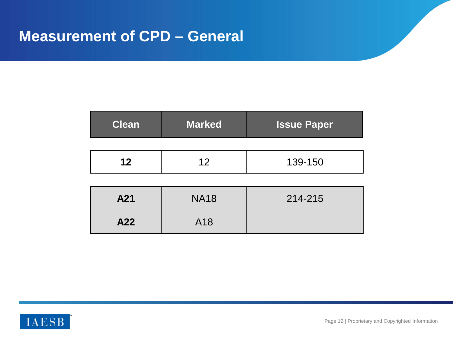#### **Measurement of CPD – General**

| <b>Clean</b> | <b>Marked</b> | <b>Issue Paper</b> |
|--------------|---------------|--------------------|
|              |               |                    |
| 12           | 12            | 139-150            |
|              |               |                    |
| A21          | <b>NA18</b>   | 214-215            |
| A22          | A18           |                    |

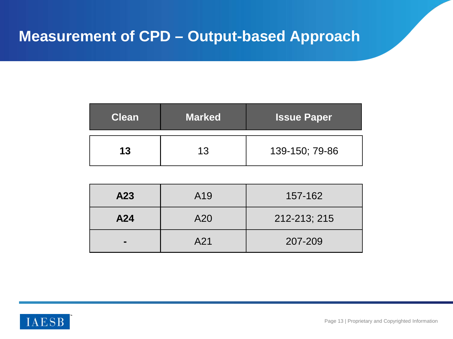#### **Measurement of CPD – Output-based Approach**

| <b>Clean</b> | <b>Marked</b> | <b>Issue Paper</b> |
|--------------|---------------|--------------------|
| 13           | 13            | 139-150; 79-86     |

| A23 | A19 | 157-162      |
|-----|-----|--------------|
| A24 | A20 | 212-213; 215 |
|     | A21 | 207-209      |

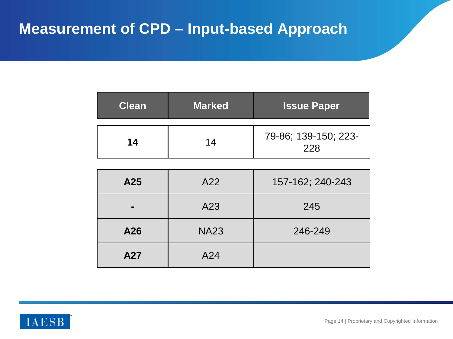# **Measurement of CPD – Input-based Approach**

| <b>Clean</b> | <b>Marked</b> | <b>Issue Paper</b>          |
|--------------|---------------|-----------------------------|
| 14           | 14            | 79-86; 139-150; 223-<br>228 |

| A25 | A22         | 157-162; 240-243 |
|-----|-------------|------------------|
| -   | A23         | 245              |
| A26 | <b>NA23</b> | 246-249          |
| A27 | A24         |                  |

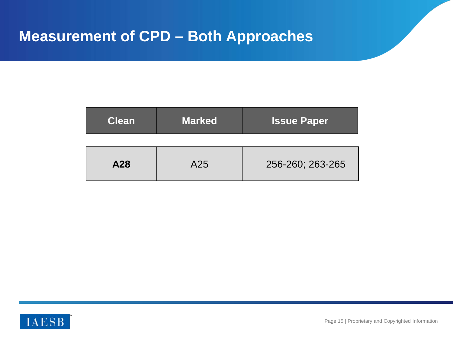# **Measurement of CPD – Both Approaches**

| <b>Clean</b> | <b>Marked</b> | <b>Issue Paper</b> |
|--------------|---------------|--------------------|
|              |               |                    |
| A28          | A25           | 256-260; 263-265   |

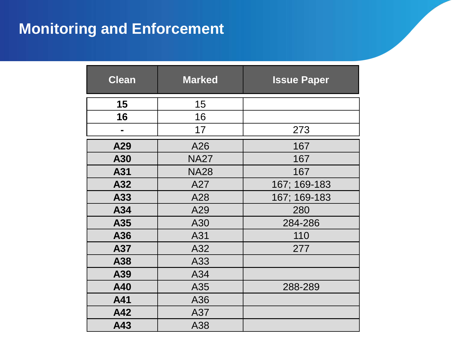# **Monitoring and Enforcement**

| <b>Clean</b> | <b>Marked</b> | <b>Issue Paper</b> |
|--------------|---------------|--------------------|
| 15           | 15            |                    |
| 16           | 16            |                    |
|              | 17            | 273                |
| A29          | A26           | 167                |
| A30          | <b>NA27</b>   | 167                |
| A31          | <b>NA28</b>   | 167                |
| A32          | A27           | 167; 169-183       |
| A33          | A28           | 167; 169-183       |
| A34          | A29           | 280                |
| A35          | A30           | 284-286            |
| A36          | A31           | 110                |
| A37          | A32           | 277                |
| A38          | A33           |                    |
| A39          | A34           |                    |
| A40          | A35           | 288-289            |
| A41          | A36           |                    |
| A42          | A37           |                    |
| A43          | A38           |                    |